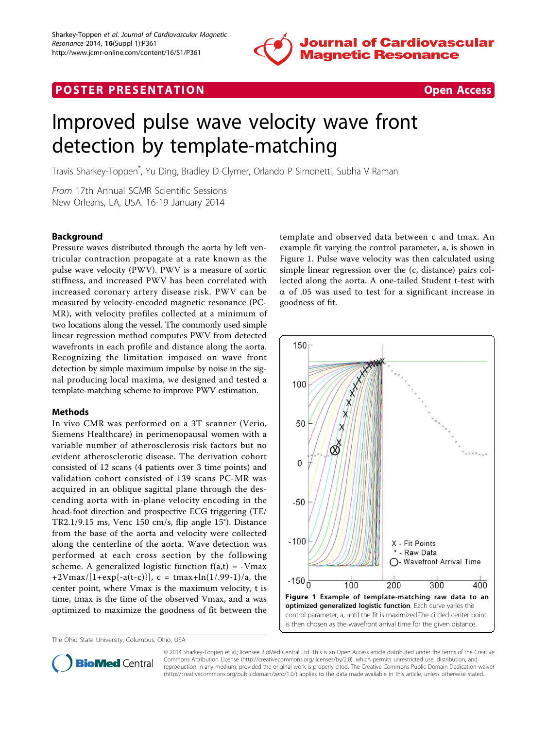

# **POSTER PRESENTATION CONSUMING THE SECOND CONSUMING THE SECOND CONSUMING THE SECOND CONSUMING THE SECOND CONSUMING THE SECOND CONSUMING THE SECOND CONSUMING THE SECOND CONSUMING THE SECOND CONSUMING THE SECOND CONSUMING**



# Improved pulse wave velocity wave front detection by template-matching

Travis Sharkey-Toppen\* , Yu Ding, Bradley D Clymer, Orlando P Simonetti, Subha V Raman

From 17th Annual SCMR Scientific Sessions New Orleans, LA, USA. 16-19 January 2014

# Background

Pressure waves distributed through the aorta by left ventricular contraction propagate at a rate known as the pulse wave velocity (PWV). PWV is a measure of aortic stiffness, and increased PWV has been correlated with increased coronary artery disease risk. PWV can be measured by velocity-encoded magnetic resonance (PC-MR), with velocity profiles collected at a minimum of two locations along the vessel. The commonly used simple linear regression method computes PWV from detected wavefronts in each profile and distance along the aorta. Recognizing the limitation imposed on wave front detection by simple maximum impulse by noise in the signal producing local maxima, we designed and tested a template-matching scheme to improve PWV estimation.

#### Methods

In vivo CMR was performed on a 3T scanner (Verio, Siemens Healthcare) in perimenopausal women with a variable number of atherosclerosis risk factors but no evident atherosclerotic disease. The derivation cohort consisted of 12 scans (4 patients over 3 time points) and validation cohort consisted of 139 scans PC-MR was acquired in an oblique sagittal plane through the descending aorta with in-plane velocity encoding in the head-foot direction and prospective ECG triggering (TE/ TR2.1/9.15 ms, Venc 150 cm/s, flip angle 15°). Distance from the base of the aorta and velocity were collected along the centerline of the aorta. Wave detection was performed at each cross section by the following scheme. A generalized logistic function  $f(a,t) = -Vmax$  $+2V$ max/[1+exp{-a(t-c)}], c = tmax+ln(1/.99-1)/a, the center point, where Vmax is the maximum velocity, t is time, tmax is the time of the observed Vmax, and a was optimized to maximize the goodness of fit between the

The Ohio State University, Columbus, Ohio, USA

template and observed data between c and tmax. An example fit varying the control parameter, a, is shown in Figure 1. Pulse wave velocity was then calculated using simple linear regression over the (c, distance) pairs collected along the aorta. A one-tailed Student t-test with  $\alpha$  of .05 was used to test for a significant increase in goodness of fit.





© 2014 Sharkey-Toppen et al.; licensee BioMed Central Ltd. This is an Open Access article distributed under the terms of the Creative Commons Attribution License [\(http://creativecommons.org/licenses/by/2.0](http://creativecommons.org/licenses/by/2.0)), which permits unrestricted use, distribution, and reproduction in any medium, provided the original work is properly cited. The Creative Commons Public Domain Dedication waiver [\(http://creativecommons.org/publicdomain/zero/1.0/](http://creativecommons.org/publicdomain/zero/1.0/)) applies to the data made available in this article, unless otherwise stated.